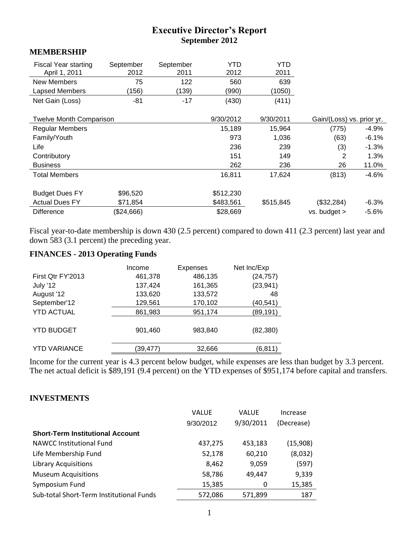# **Executive Director's Report September 2012**

#### **MEMBERSHIP**

| <b>Fiscal Year starting</b><br>April 1, 2011 | September<br>2012 | September<br>2011 | YTD<br>2012 | YTD<br>2011 |                           |         |
|----------------------------------------------|-------------------|-------------------|-------------|-------------|---------------------------|---------|
| <b>New Members</b>                           | 75                | 122               | 560         | 639         |                           |         |
| Lapsed Members                               | (156)             | (139)             | (990)       | (1050)      |                           |         |
| Net Gain (Loss)                              | $-81$             | $-17$             | (430)       | (411)       |                           |         |
| <b>Twelve Month Comparison</b>               |                   |                   | 9/30/2012   | 9/30/2011   | Gain/(Loss) vs. prior yr. |         |
| <b>Regular Members</b>                       |                   |                   | 15,189      | 15,964      | (775)                     | $-4.9%$ |
| Family/Youth                                 |                   |                   | 973         | 1,036       | (63)                      | $-6.1%$ |
| Life                                         |                   |                   | 236         | 239         | (3)                       | $-1.3%$ |
| Contributory                                 |                   |                   | 151         | 149         | 2                         | 1.3%    |
| <b>Business</b>                              |                   |                   | 262         | 236         | 26                        | 11.0%   |
| <b>Total Members</b>                         |                   |                   | 16,811      | 17,624      | (813)                     | $-4.6%$ |
| <b>Budget Dues FY</b>                        | \$96,520          |                   | \$512,230   |             |                           |         |
| <b>Actual Dues FY</b>                        | \$71,854          |                   | \$483,561   | \$515,845   | (\$32,284)                | $-6.3%$ |
| <b>Difference</b>                            | (\$24,666)        |                   | \$28,669    |             | $vs.$ budget $>$          | $-5.6%$ |

Fiscal year-to-date membership is down 430 (2.5 percent) compared to down 411 (2.3 percent) last year and down 583 (3.1 percent) the preceding year.

# **FINANCES - 2013 Operating Funds**

| Income   | <b>Expenses</b> | Net Inc/Exp |
|----------|-----------------|-------------|
| 461,378  | 486,135         | (24, 757)   |
| 137,424  | 161,365         | (23, 941)   |
| 133,620  | 133,572         | 48          |
| 129,561  | 170,102         | (40,541)    |
| 861,983  | 951,174         | (89, 191)   |
| 901,460  | 983,840         | (82, 380)   |
| (39,477) | 32,666          | (6,811      |
|          |                 |             |

Income for the current year is 4.3 percent below budget, while expenses are less than budget by 3.3 percent. The net actual deficit is \$89,191 (9.4 percent) on the YTD expenses of \$951,174 before capital and transfers.

#### **INVESTMENTS**

|                                          | <b>VALUE</b> | <b>VALUE</b> | Increase   |
|------------------------------------------|--------------|--------------|------------|
|                                          | 9/30/2012    | 9/30/2011    | (Decrease) |
| <b>Short-Term Institutional Account</b>  |              |              |            |
| <b>NAWCC Institutional Fund</b>          | 437,275      | 453,183      | (15,908)   |
| Life Membership Fund                     | 52,178       | 60,210       | (8,032)    |
| <b>Library Acquisitions</b>              | 8,462        | 9,059        | (597)      |
| <b>Museum Acquisitions</b>               | 58,786       | 49,447       | 9,339      |
| Symposium Fund                           | 15,385       | 0            | 15,385     |
| Sub-total Short-Term Institutional Funds | 572,086      | 571,899      | 187        |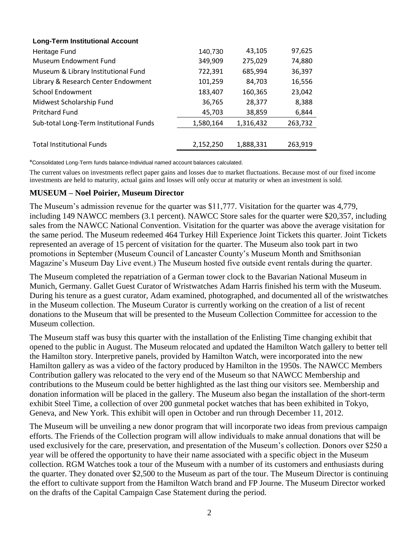| <b>Long-Term Institutional Account</b>  |           |           |         |
|-----------------------------------------|-----------|-----------|---------|
| Heritage Fund                           | 140,730   | 43,105    | 97,625  |
| <b>Museum Endowment Fund</b>            | 349,909   | 275,029   | 74,880  |
| Museum & Library Institutional Fund     | 722,391   | 685,994   | 36,397  |
| Library & Research Center Endowment     | 101,259   | 84,703    | 16,556  |
| <b>School Endowment</b>                 | 183,407   | 160,365   | 23,042  |
| Midwest Scholarship Fund                | 36,765    | 28,377    | 8,388   |
| <b>Pritchard Fund</b>                   | 45,703    | 38,859    | 6,844   |
| Sub-total Long-Term Institutional Funds | 1,580,164 | 1,316,432 | 263,732 |
|                                         |           |           |         |
| <b>Total Institutional Funds</b>        | 2,152,250 | 1,888,331 | 263,919 |

\*Consolidated Long-Term funds balance-Individual named account balances calculated.

The current values on investments reflect paper gains and losses due to market fluctuations. Because most of our fixed income investments are held to maturity, actual gains and losses will only occur at maturity or when an investment is sold.

#### **MUSEUM – Noel Poirier, Museum Director**

The Museum's admission revenue for the quarter was \$11,777. Visitation for the quarter was 4,779, including 149 NAWCC members (3.1 percent). NAWCC Store sales for the quarter were \$20,357, including sales from the NAWCC National Convention. Visitation for the quarter was above the average visitation for the same period. The Museum redeemed 464 Turkey Hill Experience Joint Tickets this quarter. Joint Tickets represented an average of 15 percent of visitation for the quarter. The Museum also took part in two promotions in September (Museum Council of Lancaster County's Museum Month and Smithsonian Magazine's Museum Day Live event.) The Museum hosted five outside event rentals during the quarter.

The Museum completed the repatriation of a German tower clock to the Bavarian National Museum in Munich, Germany. Gallet Guest Curator of Wristwatches Adam Harris finished his term with the Museum. During his tenure as a guest curator, Adam examined, photographed, and documented all of the wristwatches in the Museum collection. The Museum Curator is currently working on the creation of a list of recent donations to the Museum that will be presented to the Museum Collection Committee for accession to the Museum collection.

The Museum staff was busy this quarter with the installation of the Enlisting Time changing exhibit that opened to the public in August. The Museum relocated and updated the Hamilton Watch gallery to better tell the Hamilton story. Interpretive panels, provided by Hamilton Watch, were incorporated into the new Hamilton gallery as was a video of the factory produced by Hamilton in the 1950s. The NAWCC Members Contribution gallery was relocated to the very end of the Museum so that NAWCC Membership and contributions to the Museum could be better highlighted as the last thing our visitors see. Membership and donation information will be placed in the gallery. The Museum also began the installation of the short-term exhibit Steel Time, a collection of over 200 gunmetal pocket watches that has been exhibited in Tokyo, Geneva, and New York. This exhibit will open in October and run through December 11, 2012.

The Museum will be unveiling a new donor program that will incorporate two ideas from previous campaign efforts. The Friends of the Collection program will allow individuals to make annual donations that will be used exclusively for the care, preservation, and presentation of the Museum's collection. Donors over \$250 a year will be offered the opportunity to have their name associated with a specific object in the Museum collection. RGM Watches took a tour of the Museum with a number of its customers and enthusiasts during the quarter. They donated over \$2,500 to the Museum as part of the tour. The Museum Director is continuing the effort to cultivate support from the Hamilton Watch brand and FP Journe. The Museum Director worked on the drafts of the Capital Campaign Case Statement during the period.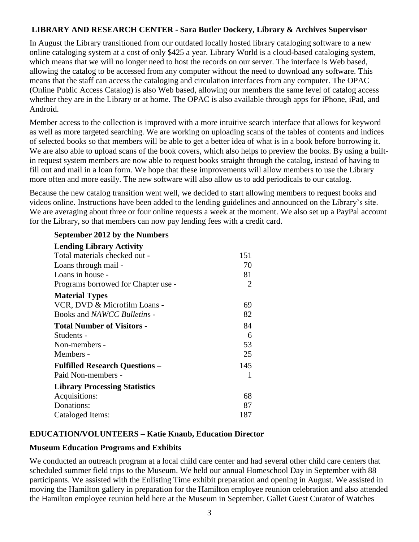# **LIBRARY AND RESEARCH CENTER - Sara Butler Dockery, Library & Archives Supervisor**

In August the Library transitioned from our outdated locally hosted library cataloging software to a new online cataloging system at a cost of only \$425 a year. Library World is a cloud-based cataloging system, which means that we will no longer need to host the records on our server. The interface is Web based, allowing the catalog to be accessed from any computer without the need to download any software. This means that the staff can access the cataloging and circulation interfaces from any computer. The OPAC (Online Public Access Catalog) is also Web based, allowing our members the same level of catalog access whether they are in the Library or at home. The OPAC is also available through apps for iPhone, iPad, and Android.

Member access to the collection is improved with a more intuitive search interface that allows for keyword as well as more targeted searching. We are working on uploading scans of the tables of contents and indices of selected books so that members will be able to get a better idea of what is in a book before borrowing it. We are also able to upload scans of the book covers, which also helps to preview the books. By using a builtin request system members are now able to request books straight through the catalog, instead of having to fill out and mail in a loan form. We hope that these improvements will allow members to use the Library more often and more easily. The new software will also allow us to add periodicals to our catalog.

Because the new catalog transition went well, we decided to start allowing members to request books and videos online. Instructions have been added to the lending guidelines and announced on the Library's site. We are averaging about three or four online requests a week at the moment. We also set up a PayPal account for the Library, so that members can now pay lending fees with a credit card.

| <b>Lending Library Activity</b>       |                |
|---------------------------------------|----------------|
| Total materials checked out -         | 151            |
| Loans through mail -                  | 70             |
| Loans in house -                      | 81             |
| Programs borrowed for Chapter use -   | $\overline{2}$ |
| <b>Material Types</b>                 |                |
| VCR, DVD & Microfilm Loans -          | 69             |
| Books and NAWCC Bulletins -           | 82             |
| <b>Total Number of Visitors -</b>     | 84             |
| Students -                            | 6              |
| Non-members -                         | 53             |
| Members -                             | 25             |
| <b>Fulfilled Research Questions -</b> | 145            |
| Paid Non-members -                    | 1              |
| <b>Library Processing Statistics</b>  |                |
| Acquisitions:                         | 68             |
| Donations:                            | 87             |
| Cataloged Items:                      | 187            |
|                                       |                |

### **EDUCATION/VOLUNTEERS – Katie Knaub, Education Director**

#### **Museum Education Programs and Exhibits**

**September 2012 by the Numbers**

We conducted an outreach program at a local child care center and had several other child care centers that scheduled summer field trips to the Museum. We held our annual Homeschool Day in September with 88 participants. We assisted with the Enlisting Time exhibit preparation and opening in August. We assisted in moving the Hamilton gallery in preparation for the Hamilton employee reunion celebration and also attended the Hamilton employee reunion held here at the Museum in September. Gallet Guest Curator of Watches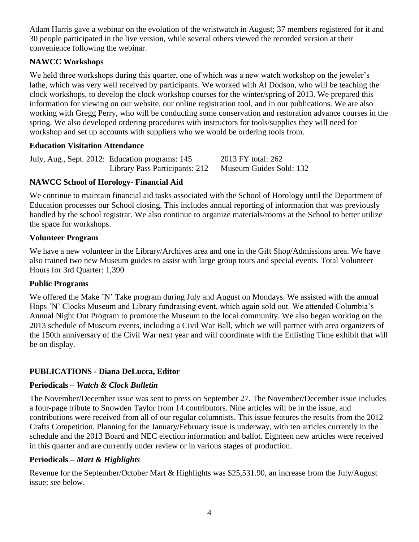Adam Harris gave a webinar on the evolution of the wristwatch in August; 37 members registered for it and 30 people participated in the live version, while several others viewed the recorded version at their convenience following the webinar.

# **NAWCC Workshops**

We held three workshops during this quarter, one of which was a new watch workshop on the jeweler's lathe, which was very well received by participants. We worked with Al Dodson, who will be teaching the clock workshops, to develop the clock workshop courses for the winter/spring of 2013. We prepared this information for viewing on our website, our online registration tool, and in our publications. We are also working with Gregg Perry, who will be conducting some conservation and restoration advance courses in the spring. We also developed ordering procedures with instructors for tools/supplies they will need for workshop and set up accounts with suppliers who we would be ordering tools from.

# **Education Visitation Attendance**

| July, Aug., Sept. 2012: Education programs: 145 | 2013 FY total: 262      |  |  |
|-------------------------------------------------|-------------------------|--|--|
| Library Pass Participants: 212                  | Museum Guides Sold: 132 |  |  |

# **NAWCC School of Horology- Financial Aid**

We continue to maintain financial aid tasks associated with the School of Horology until the Department of Education processes our School closing. This includes annual reporting of information that was previously handled by the school registrar. We also continue to organize materials/rooms at the School to better utilize the space for workshops.

### **Volunteer Program**

We have a new volunteer in the Library/Archives area and one in the Gift Shop/Admissions area. We have also trained two new Museum guides to assist with large group tours and special events. Total Volunteer Hours for 3rd Quarter: 1,390

### **Public Programs**

We offered the Make 'N' Take program during July and August on Mondays. We assisted with the annual Hops 'N' Clocks Museum and Library fundraising event, which again sold out. We attended Columbia's Annual Night Out Program to promote the Museum to the local community. We also began working on the 2013 schedule of Museum events, including a Civil War Ball, which we will partner with area organizers of the 150th anniversary of the Civil War next year and will coordinate with the Enlisting Time exhibit that will be on display.

# **PUBLICATIONS - Diana DeLucca, Editor**

# **Periodicals –** *Watch & Clock Bulletin*

The November/December issue was sent to press on September 27. The November/December issue includes a four-page tribute to Snowden Taylor from 14 contributors. Nine articles will be in the issue, and contributions were received from all of our regular columnists. This issue features the results from the 2012 Crafts Competition. Planning for the January/February issue is underway, with ten articles currently in the schedule and the 2013 Board and NEC election information and ballot. Eighteen new articles were received in this quarter and are currently under review or in various stages of production.

### **Periodicals –** *Mart & Highlights*

Revenue for the September/October Mart & Highlights was \$25,531.90, an increase from the July/August issue; see below.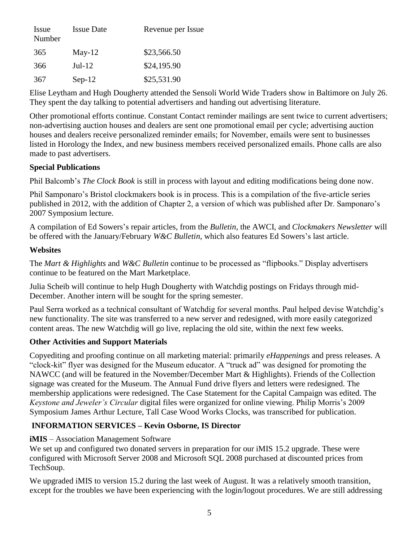| Issue<br>Number | <b>Issue Date</b> | Revenue per Issue |
|-----------------|-------------------|-------------------|
| 365             | $May-12$          | \$23,566.50       |
| 366             | $Jul-12$          | \$24,195.90       |
| 367             | $Sep-12$          | \$25,531.90       |

Elise Leytham and Hugh Dougherty attended the Sensoli World Wide Traders show in Baltimore on July 26. They spent the day talking to potential advertisers and handing out advertising literature.

Other promotional efforts continue. Constant Contact reminder mailings are sent twice to current advertisers; non-advertising auction houses and dealers are sent one promotional email per cycle; advertising auction houses and dealers receive personalized reminder emails; for November, emails were sent to businesses listed in Horology the Index, and new business members received personalized emails. Phone calls are also made to past advertisers.

### **Special Publications**

Phil Balcomb's *The Clock Book* is still in process with layout and editing modifications being done now.

Phil Samponaro's Bristol clockmakers book is in process. This is a compilation of the five-article series published in 2012, with the addition of Chapter 2, a version of which was published after Dr. Samponaro's 2007 Symposium lecture.

A compilation of Ed Sowers's repair articles, from the *Bulletin*, the AWCI, and *Clockmakers Newsletter* will be offered with the January/February *W&C Bulletin*, which also features Ed Sowers's last article.

### **Websites**

The *Mart & Highlights* and *W&C Bulletin* continue to be processed as "flipbooks." Display advertisers continue to be featured on the Mart Marketplace.

Julia Scheib will continue to help Hugh Dougherty with Watchdig postings on Fridays through mid-December. Another intern will be sought for the spring semester.

Paul Serra worked as a technical consultant of Watchdig for several months. Paul helped devise Watchdig's new functionality. The site was transferred to a new server and redesigned, with more easily categorized content areas. The new Watchdig will go live, replacing the old site, within the next few weeks.

# **Other Activities and Support Materials**

Copyediting and proofing continue on all marketing material: primarily *eHappenings* and press releases. A "clock-kit" flyer was designed for the Museum educator. A "truck ad" was designed for promoting the NAWCC (and will be featured in the November/December Mart & Highlights). Friends of the Collection signage was created for the Museum. The Annual Fund drive flyers and letters were redesigned. The membership applications were redesigned. The Case Statement for the Capital Campaign was edited. The *Keystone and Jeweler's Circular* digital files were organized for online viewing. Philip Morris's 2009 Symposium James Arthur Lecture, Tall Case Wood Works Clocks, was transcribed for publication.

# **INFORMATION SERVICES – Kevin Osborne, IS Director**

### **iMIS** – Association Management Software

We set up and configured two donated servers in preparation for our iMIS 15.2 upgrade. These were configured with Microsoft Server 2008 and Microsoft SQL 2008 purchased at discounted prices from TechSoup.

We upgraded iMIS to version 15.2 during the last week of August. It was a relatively smooth transition, except for the troubles we have been experiencing with the login/logout procedures. We are still addressing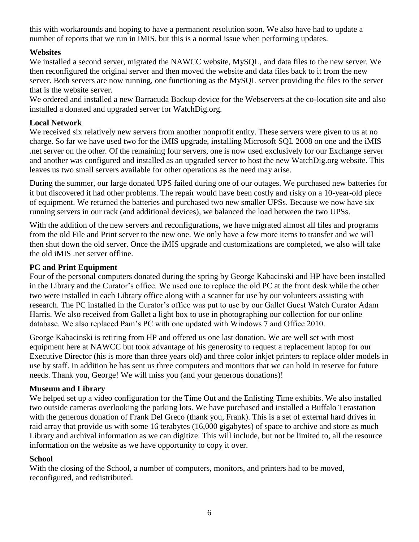this with workarounds and hoping to have a permanent resolution soon. We also have had to update a number of reports that we run in iMIS, but this is a normal issue when performing updates.

### **Websites**

We installed a second server, migrated the NAWCC website, MySQL, and data files to the new server. We then reconfigured the original server and then moved the website and data files back to it from the new server. Both servers are now running, one functioning as the MySQL server providing the files to the server that is the website server.

We ordered and installed a new Barracuda Backup device for the Webservers at the co-location site and also installed a donated and upgraded server for WatchDig.org.

### **Local Network**

We received six relatively new servers from another nonprofit entity. These servers were given to us at no charge. So far we have used two for the iMIS upgrade, installing Microsoft SQL 2008 on one and the iMIS .net server on the other. Of the remaining four servers, one is now used exclusively for our Exchange server and another was configured and installed as an upgraded server to host the new WatchDig.org website. This leaves us two small servers available for other operations as the need may arise.

During the summer, our large donated UPS failed during one of our outages. We purchased new batteries for it but discovered it had other problems. The repair would have been costly and risky on a 10-year-old piece of equipment. We returned the batteries and purchased two new smaller UPSs. Because we now have six running servers in our rack (and additional devices), we balanced the load between the two UPSs.

With the addition of the new servers and reconfigurations, we have migrated almost all files and programs from the old File and Print server to the new one. We only have a few more items to transfer and we will then shut down the old server. Once the iMIS upgrade and customizations are completed, we also will take the old iMIS .net server offline.

### **PC and Print Equipment**

Four of the personal computers donated during the spring by George Kabacinski and HP have been installed in the Library and the Curator's office. We used one to replace the old PC at the front desk while the other two were installed in each Library office along with a scanner for use by our volunteers assisting with research. The PC installed in the Curator's office was put to use by our Gallet Guest Watch Curator Adam Harris. We also received from Gallet a light box to use in photographing our collection for our online database. We also replaced Pam's PC with one updated with Windows 7 and Office 2010.

George Kabacinski is retiring from HP and offered us one last donation. We are well set with most equipment here at NAWCC but took advantage of his generosity to request a replacement laptop for our Executive Director (his is more than three years old) and three color inkjet printers to replace older models in use by staff. In addition he has sent us three computers and monitors that we can hold in reserve for future needs. Thank you, George! We will miss you (and your generous donations)!

### **Museum and Library**

We helped set up a video configuration for the Time Out and the Enlisting Time exhibits. We also installed two outside cameras overlooking the parking lots. We have purchased and installed a Buffalo Terastation with the generous donation of Frank Del Greco (thank you, Frank). This is a set of external hard drives in raid array that provide us with some 16 terabytes (16,000 gigabytes) of space to archive and store as much Library and archival information as we can digitize. This will include, but not be limited to, all the resource information on the website as we have opportunity to copy it over.

### **School**

With the closing of the School, a number of computers, monitors, and printers had to be moved, reconfigured, and redistributed.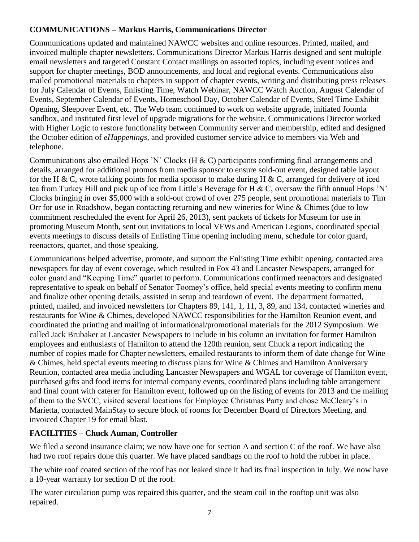# **COMMUNICATIONS – Markus Harris, Communications Director**

Communications updated and maintained NAWCC websites and online resources. Printed, mailed, and invoiced multiple chapter newsletters. Communications Director Markus Harris designed and sent multiple email newsletters and targeted Constant Contact mailings on assorted topics, including event notices and support for chapter meetings, BOD announcements, and local and regional events. Communications also mailed promotional materials to chapters in support of chapter events, writing and distributing press releases for July Calendar of Events, Enlisting Time, Watch Webinar, NAWCC Watch Auction, August Calendar of Events, September Calendar of Events, Homeschool Day, October Calendar of Events, Steel Time Exhibit Opening, Sleepover Event, etc. The Web team continued to work on website upgrade, initiated Joomla sandbox, and instituted first level of upgrade migrations for the website. Communications Director worked with Higher Logic to restore functionality between Community server and membership, edited and designed the October edition of *eHappenings*, and provided customer service advice to members via Web and telephone.

Communications also emailed Hops 'N' Clocks (H & C) participants confirming final arrangements and details, arranged for additional promos from media sponsor to ensure sold-out event, designed table layout for the H & C, wrote talking points for media sponsor to make during H & C, arranged for delivery of iced tea from Turkey Hill and pick up of ice from Little's Beverage for H & C, oversaw the fifth annual Hops 'N' Clocks bringing in over \$5,000 with a sold-out crowd of over 275 people, sent promotional materials to Tim Orr for use in Roadshow, began contacting returning and new wineries for Wine & Chimes (due to low commitment rescheduled the event for April 26, 2013), sent packets of tickets for Museum for use in promoting Museum Month, sent out invitations to local VFWs and American Legions, coordinated special events meetings to discuss details of Enlisting Time opening including menu, schedule for color guard, reenactors, quartet, and those speaking.

Communications helped advertise, promote, and support the Enlisting Time exhibit opening, contacted area newspapers for day of event coverage, which resulted in Fox 43 and Lancaster Newspapers, arranged for color guard and "Keeping Time" quartet to perform. Communications confirmed reenactors and designated representative to speak on behalf of Senator Toomey's office, held special events meeting to confirm menu and finalize other opening details, assisted in setup and teardown of event. The department formatted, printed, mailed, and invoiced newsletters for Chapters 89, 141, 1, 11, 3, 89, and 134, contacted wineries and restaurants for Wine & Chimes, developed NAWCC responsibilities for the Hamilton Reunion event, and coordinated the printing and mailing of informational/promotional materials for the 2012 Symposium. We called Jack Brubaker at Lancaster Newspapers to include in his column an invitation for former Hamilton employees and enthusiasts of Hamilton to attend the 120th reunion, sent Chuck a report indicating the number of copies made for Chapter newsletters, emailed restaurants to inform them of date change for Wine & Chimes, held special events meeting to discuss plans for Wine & Chimes and Hamilton Anniversary Reunion, contacted area media including Lancaster Newspapers and WGAL for coverage of Hamilton event, purchased gifts and food items for internal company events, coordinated plans including table arrangement and final count with caterer for Hamilton event, followed up on the listing of events for 2013 and the mailing of them to the SVCC, visited several locations for Employee Christmas Party and chose McCleary's in Marietta, contacted MainStay to secure block of rooms for December Board of Directors Meeting, and invoiced Chapter 19 for email blast.

# **FACILITIES – Chuck Auman, Controller**

We filed a second insurance claim; we now have one for section A and section C of the roof. We have also had two roof repairs done this quarter. We have placed sandbags on the roof to hold the rubber in place.

The white roof coated section of the roof has not leaked since it had its final inspection in July. We now have a 10-year warranty for section D of the roof.

The water circulation pump was repaired this quarter, and the steam coil in the rooftop unit was also repaired.